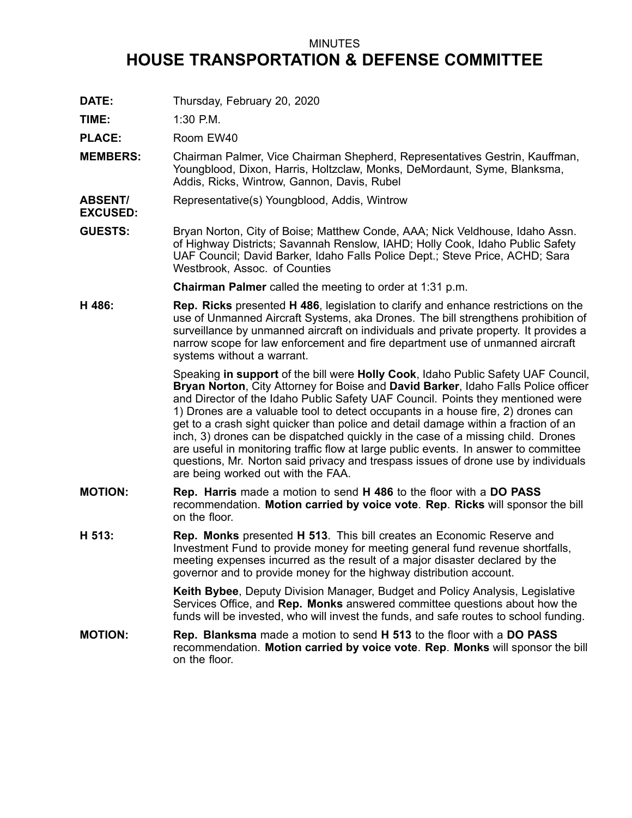## MINUTES **HOUSE TRANSPORTATION & DEFENSE COMMITTEE**

**DATE:** Thursday, February 20, 2020

**TIME:** 1:30 P.M.

**EXCUSED:**

PLACE: Room EW40

- **MEMBERS:** Chairman Palmer, Vice Chairman Shepherd, Representatives Gestrin, Kauffman, Youngblood, Dixon, Harris, Holtzclaw, Monks, DeMordaunt, Syme, Blanksma, Addis, Ricks, Wintrow, Gannon, Davis, Rubel
- **ABSENT/** Representative(s) Youngblood, Addis, Wintrow
- **GUESTS:** Bryan Norton, City of Boise; Matthew Conde, AAA; Nick Veldhouse, Idaho Assn. of Highway Districts; Savannah Renslow, IAHD; Holly Cook, Idaho Public Safety UAF Council; David Barker, Idaho Falls Police Dept.; Steve Price, ACHD; Sara Westbrook, Assoc. of Counties

**Chairman Palmer** called the meeting to order at 1:31 p.m.

**H 486: Rep. Ricks** presented **H 486**, legislation to clarify and enhance restrictions on the use of Unmanned Aircraft Systems, aka Drones. The bill strengthens prohibition of surveillance by unmanned aircraft on individuals and private property. It provides <sup>a</sup> narrow scope for law enforcement and fire department use of unmanned aircraft systems without <sup>a</sup> warrant.

> Speaking **in support** of the bill were **Holly Cook**, Idaho Public Safety UAF Council, **Bryan Norton**, City Attorney for Boise and **David Barker**, Idaho Falls Police officer and Director of the Idaho Public Safety UAF Council. Points they mentioned were 1) Drones are <sup>a</sup> valuable tool to detect occupants in <sup>a</sup> house fire, 2) drones can get to <sup>a</sup> crash sight quicker than police and detail damage within <sup>a</sup> fraction of an inch, 3) drones can be dispatched quickly in the case of <sup>a</sup> missing child. Drones are useful in monitoring traffic flow at large public events. In answer to committee questions, Mr. Norton said privacy and trespass issues of drone use by individuals are being worked out with the FAA.

- **MOTION: Rep. Harris** made <sup>a</sup> motion to send **H 486** to the floor with <sup>a</sup> **DO PASS** recommendation. **Motion carried by voice vote**. **Rep**. **Ricks** will sponsor the bill on the floor.
- **H 513: Rep. Monks** presented **H 513**. This bill creates an Economic Reserve and Investment Fund to provide money for meeting general fund revenue shortfalls, meeting expenses incurred as the result of <sup>a</sup> major disaster declared by the governor and to provide money for the highway distribution account.

**Keith Bybee**, Deputy Division Manager, Budget and Policy Analysis, Legislative Services Office, and **Rep. Monks** answered committee questions about how the funds will be invested, who will invest the funds, and safe routes to school funding.

**MOTION: Rep. Blanksma** made <sup>a</sup> motion to send **H 513** to the floor with <sup>a</sup> **DO PASS** recommendation. **Motion carried by voice vote**. **Rep**. **Monks** will sponsor the bill on the floor.